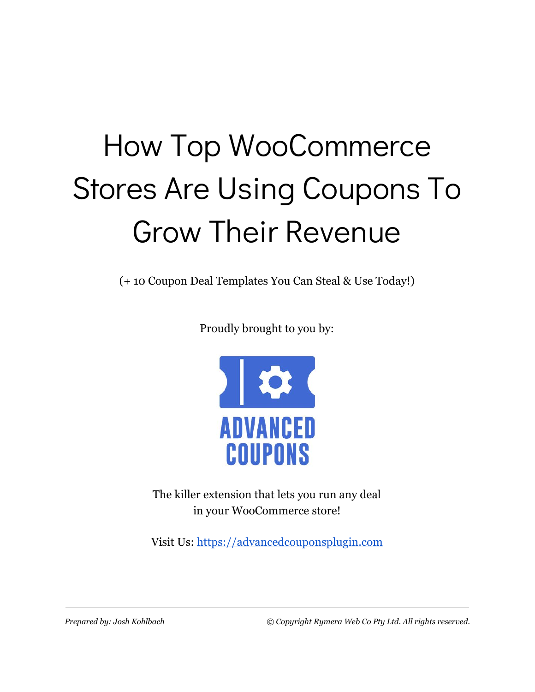# How Top WooCommerce Stores Are Using Coupons To Grow Their Revenue

(+ 10 Coupon Deal Templates You Can Steal & Use Today!)

Proudly brought to you by:



The killer extension that lets you run any deal in your WooCommerce store!

Visit Us: [https://advancedcouponsplugin.com](https://advancedcouponsplugin.com/?utm_source=AdvancedCoupons&utm_medium=PDF&utm_campaign=TopStoresFunnel&utm_content=TopStoresPDF)

*Prepared by: Josh Kohlbach © Copyright Rymera Web Co Pty Ltd. All rights reserved.*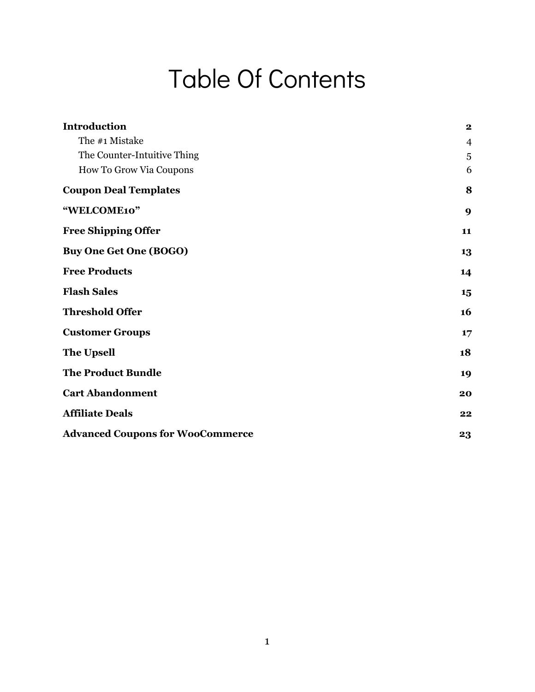### Table Of Contents

| <b>Introduction</b>                     | $\mathbf 2$    |
|-----------------------------------------|----------------|
| The #1 Mistake                          |                |
|                                         | $\overline{4}$ |
| The Counter-Intuitive Thing             | 5              |
| How To Grow Via Coupons                 | 6              |
| <b>Coupon Deal Templates</b>            | 8              |
| "WELCOME10"                             | 9              |
| <b>Free Shipping Offer</b>              | 11             |
| <b>Buy One Get One (BOGO)</b>           | 13             |
| <b>Free Products</b>                    | 14             |
| <b>Flash Sales</b>                      | 15             |
| <b>Threshold Offer</b>                  | 16             |
| <b>Customer Groups</b>                  | 17             |
| <b>The Upsell</b>                       | 18             |
| <b>The Product Bundle</b>               | 19             |
| <b>Cart Abandonment</b>                 | 20             |
| <b>Affiliate Deals</b>                  | 22             |
| <b>Advanced Coupons for WooCommerce</b> | 23             |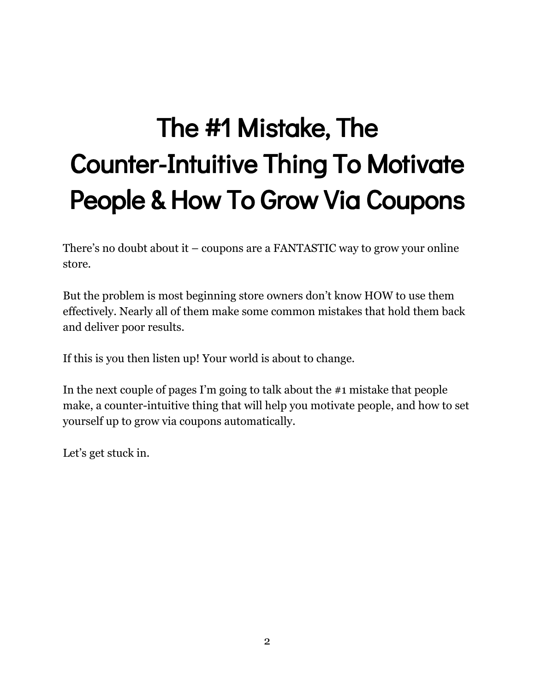# <span id="page-2-0"></span>The #1 Mistake, The Counter-Intuitive Thing To Motivate People & How To Grow Via Coupons

There's no doubt about it – coupons are a FANTASTIC way to grow your online store.

But the problem is most beginning store owners don't know HOW to use them effectively. Nearly all of them make some common mistakes that hold them back and deliver poor results.

If this is you then listen up! Your world is about to change.

In the next couple of pages I'm going to talk about the #1 mistake that people make, a counter-intuitive thing that will help you motivate people, and how to set yourself up to grow via coupons automatically.

Let's get stuck in.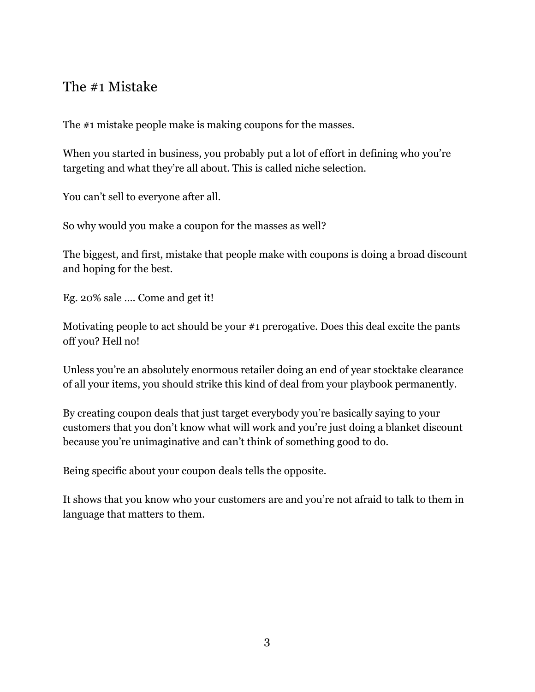#### <span id="page-3-0"></span>The #1 Mistake

The #1 mistake people make is making coupons for the masses.

When you started in business, you probably put a lot of effort in defining who you're targeting and what they're all about. This is called niche selection.

You can't sell to everyone after all.

So why would you make a coupon for the masses as well?

The biggest, and first, mistake that people make with coupons is doing a broad discount and hoping for the best.

Eg. 20% sale …. Come and get it!

Motivating people to act should be your #1 prerogative. Does this deal excite the pants off you? Hell no!

Unless you're an absolutely enormous retailer doing an end of year stocktake clearance of all your items, you should strike this kind of deal from your playbook permanently.

By creating coupon deals that just target everybody you're basically saying to your customers that you don't know what will work and you're just doing a blanket discount because you're unimaginative and can't think of something good to do.

Being specific about your coupon deals tells the opposite.

It shows that you know who your customers are and you're not afraid to talk to them in language that matters to them.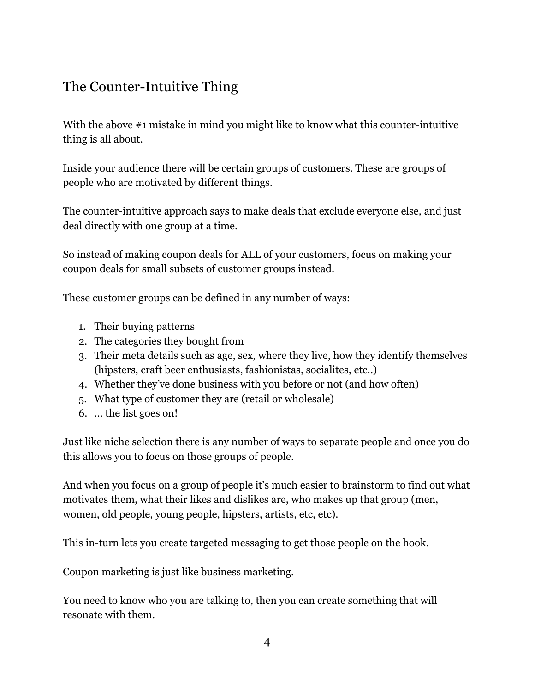#### <span id="page-4-0"></span>The Counter-Intuitive Thing

With the above #1 mistake in mind you might like to know what this counter-intuitive thing is all about.

Inside your audience there will be certain groups of customers. These are groups of people who are motivated by different things.

The counter-intuitive approach says to make deals that exclude everyone else, and just deal directly with one group at a time.

So instead of making coupon deals for ALL of your customers, focus on making your coupon deals for small subsets of customer groups instead.

These customer groups can be defined in any number of ways:

- 1. Their buying patterns
- 2. The categories they bought from
- 3. Their meta details such as age, sex, where they live, how they identify themselves (hipsters, craft beer enthusiasts, fashionistas, socialites, etc..)
- 4. Whether they've done business with you before or not (and how often)
- 5. What type of customer they are (retail or wholesale)
- 6. … the list goes on!

Just like niche selection there is any number of ways to separate people and once you do this allows you to focus on those groups of people.

And when you focus on a group of people it's much easier to brainstorm to find out what motivates them, what their likes and dislikes are, who makes up that group (men, women, old people, young people, hipsters, artists, etc, etc).

This in-turn lets you create targeted messaging to get those people on the hook.

Coupon marketing is just like business marketing.

You need to know who you are talking to, then you can create something that will resonate with them.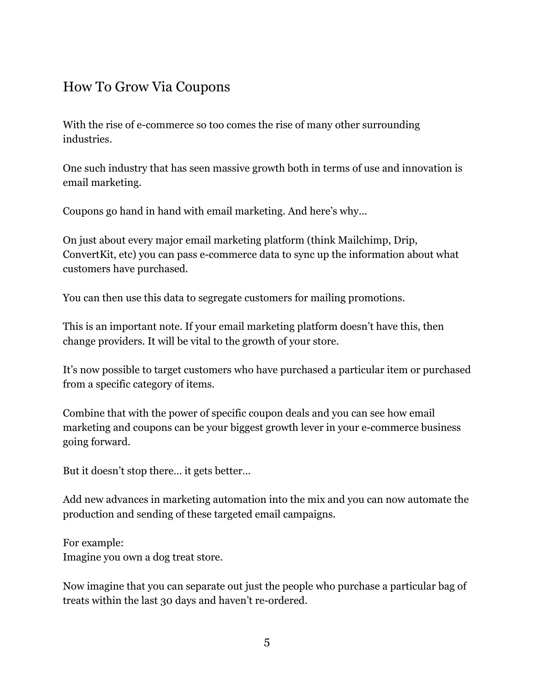#### <span id="page-5-0"></span>How To Grow Via Coupons

With the rise of e-commerce so too comes the rise of many other surrounding industries.

One such industry that has seen massive growth both in terms of use and innovation is email marketing.

Coupons go hand in hand with email marketing. And here's why...

On just about every major email marketing platform (think Mailchimp, Drip, ConvertKit, etc) you can pass e-commerce data to sync up the information about what customers have purchased.

You can then use this data to segregate customers for mailing promotions.

This is an important note. If your email marketing platform doesn't have this, then change providers. It will be vital to the growth of your store.

It's now possible to target customers who have purchased a particular item or purchased from a specific category of items.

Combine that with the power of specific coupon deals and you can see how email marketing and coupons can be your biggest growth lever in your e-commerce business going forward.

But it doesn't stop there… it gets better…

Add new advances in marketing automation into the mix and you can now automate the production and sending of these targeted email campaigns.

For example: Imagine you own a dog treat store.

Now imagine that you can separate out just the people who purchase a particular bag of treats within the last 30 days and haven't re-ordered.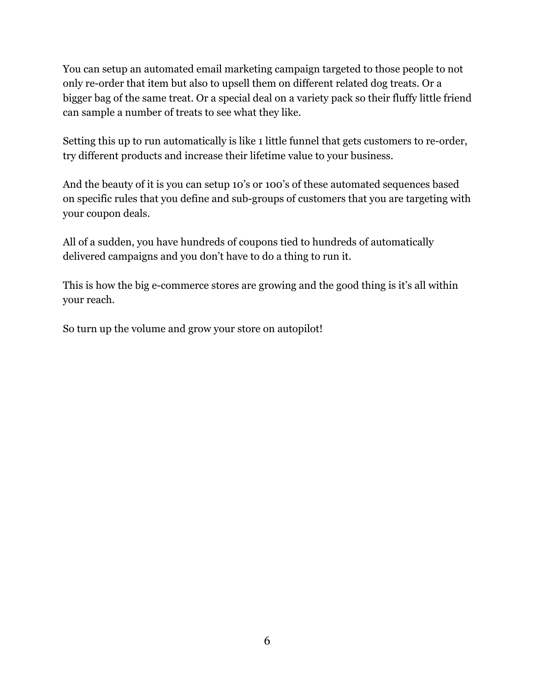You can setup an automated email marketing campaign targeted to those people to not only re-order that item but also to upsell them on different related dog treats. Or a bigger bag of the same treat. Or a special deal on a variety pack so their fluffy little friend can sample a number of treats to see what they like.

Setting this up to run automatically is like 1 little funnel that gets customers to re-order, try different products and increase their lifetime value to your business.

And the beauty of it is you can setup 10's or 100's of these automated sequences based on specific rules that you define and sub-groups of customers that you are targeting with your coupon deals.

All of a sudden, you have hundreds of coupons tied to hundreds of automatically delivered campaigns and you don't have to do a thing to run it.

This is how the big e-commerce stores are growing and the good thing is it's all within your reach.

So turn up the volume and grow your store on autopilot!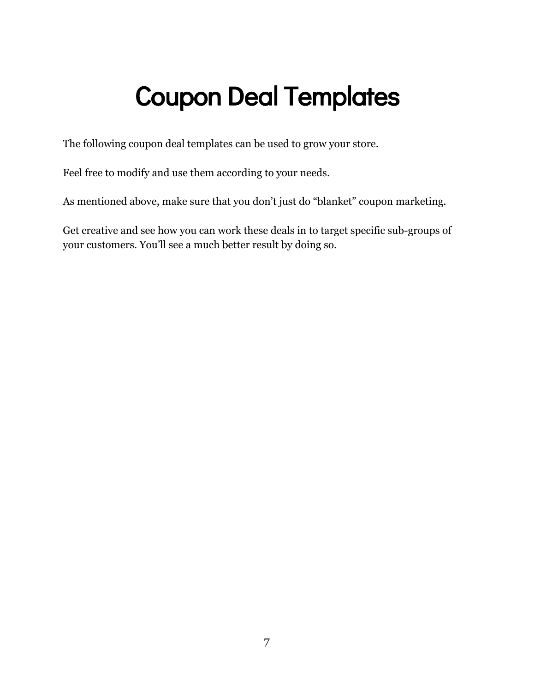### <span id="page-7-0"></span>Coupon Deal Templates

The following coupon deal templates can be used to grow your store.

Feel free to modify and use them according to your needs.

As mentioned above, make sure that you don't just do "blanket" coupon marketing.

Get creative and see how you can work these deals in to target specific sub-groups of your customers. You'll see a much better result by doing so.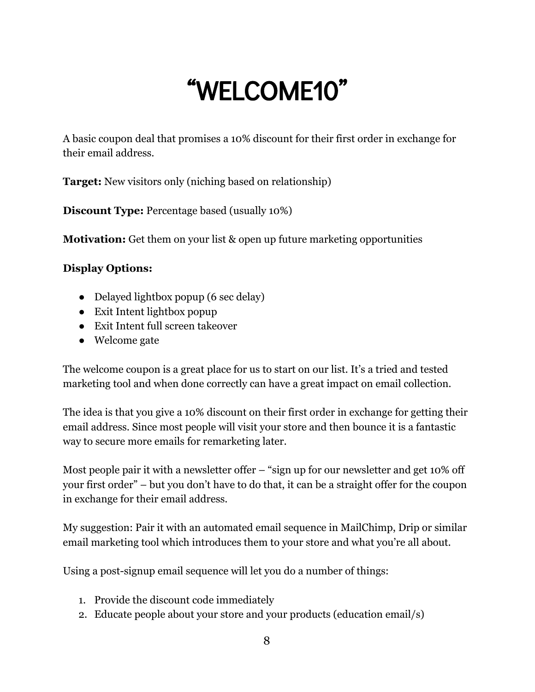### "WELCOME10"

<span id="page-8-0"></span>A basic coupon deal that promises a 10% discount for their first order in exchange for their email address.

**Target:** New visitors only (niching based on relationship)

**Discount Type:** Percentage based (usually 10%)

**Motivation:** Get them on your list & open up future marketing opportunities

#### **Display Options:**

- Delayed lightbox popup (6 sec delay)
- Exit Intent lightbox popup
- Exit Intent full screen takeover
- Welcome gate

The welcome coupon is a great place for us to start on our list. It's a tried and tested marketing tool and when done correctly can have a great impact on email collection.

The idea is that you give a 10% discount on their first order in exchange for getting their email address. Since most people will visit your store and then bounce it is a fantastic way to secure more emails for remarketing later.

Most people pair it with a newsletter offer – "sign up for our newsletter and get 10% off your first order" – but you don't have to do that, it can be a straight offer for the coupon in exchange for their email address.

My suggestion: Pair it with an automated email sequence in MailChimp, Drip or similar email marketing tool which introduces them to your store and what you're all about.

Using a post-signup email sequence will let you do a number of things:

- 1. Provide the discount code immediately
- 2. Educate people about your store and your products (education email/s)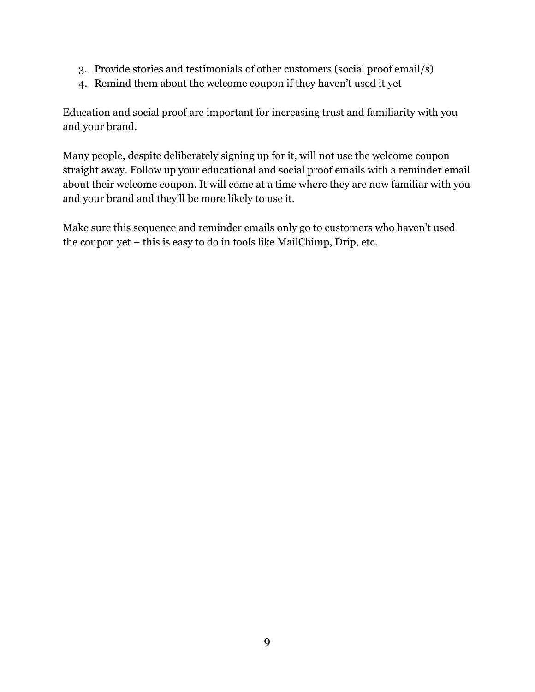- 3. Provide stories and testimonials of other customers (social proof email/s)
- 4. Remind them about the welcome coupon if they haven't used it yet

Education and social proof are important for increasing trust and familiarity with you and your brand.

Many people, despite deliberately signing up for it, will not use the welcome coupon straight away. Follow up your educational and social proof emails with a reminder email about their welcome coupon. It will come at a time where they are now familiar with you and your brand and they'll be more likely to use it.

Make sure this sequence and reminder emails only go to customers who haven't used the coupon yet – this is easy to do in tools like MailChimp, Drip, etc.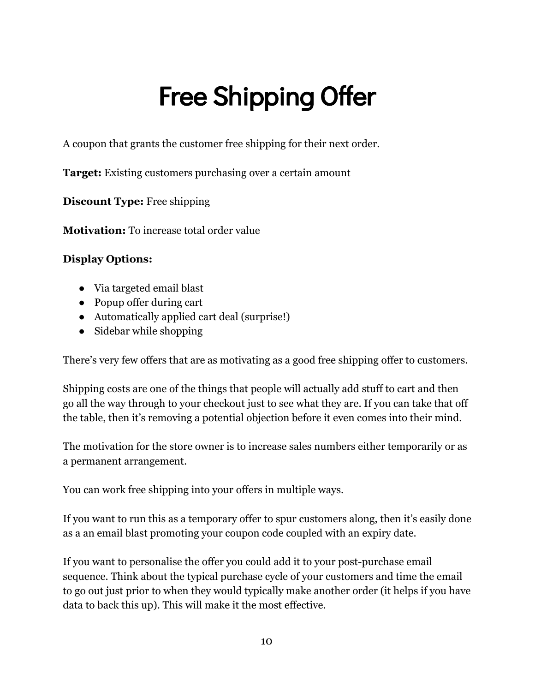# Free Shipping Offer

<span id="page-10-0"></span>A coupon that grants the customer free shipping for their next order.

**Target:** Existing customers purchasing over a certain amount

**Discount Type:** Free shipping

**Motivation:** To increase total order value

#### **Display Options:**

- Via targeted email blast
- Popup offer during cart
- Automatically applied cart deal (surprise!)
- Sidebar while shopping

There's very few offers that are as motivating as a good free shipping offer to customers.

Shipping costs are one of the things that people will actually add stuff to cart and then go all the way through to your checkout just to see what they are. If you can take that off the table, then it's removing a potential objection before it even comes into their mind.

The motivation for the store owner is to increase sales numbers either temporarily or as a permanent arrangement.

You can work free shipping into your offers in multiple ways.

If you want to run this as a temporary offer to spur customers along, then it's easily done as a an email blast promoting your coupon code coupled with an expiry date.

If you want to personalise the offer you could add it to your post-purchase email sequence. Think about the typical purchase cycle of your customers and time the email to go out just prior to when they would typically make another order (it helps if you have data to back this up). This will make it the most effective.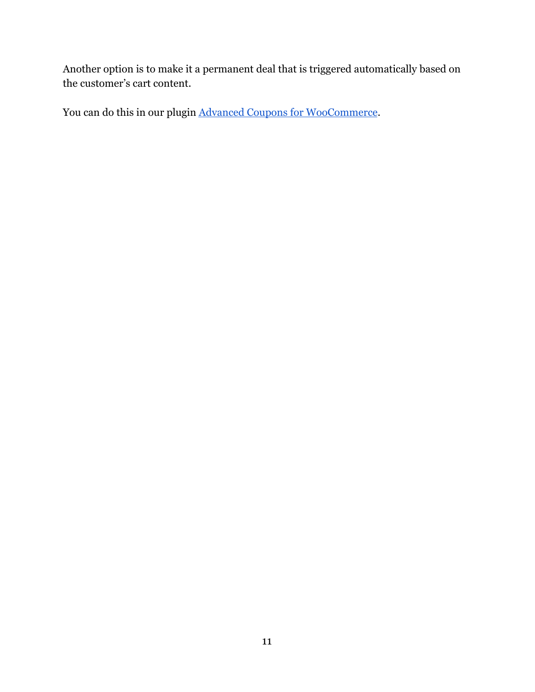Another option is to make it a permanent deal that is triggered automatically based on the customer's cart content.

You can do this in our plugin [Advanced Coupons for WooCommerce](https://advancedcouponsplugin.com/?utm_source=AdvancedCoupons&utm_medium=PDF&utm_campaign=TopStoresFunnel&utm_content=TopStoresPDF).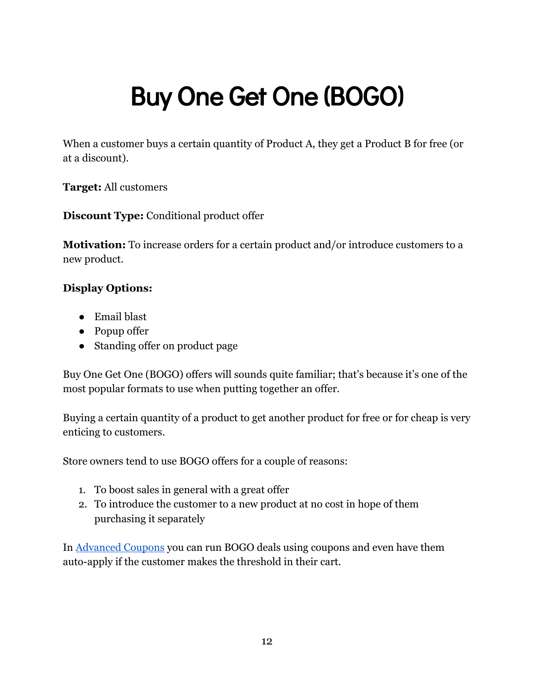# <span id="page-12-0"></span>Buy One Get One (BOGO)

When a customer buys a certain quantity of Product A, they get a Product B for free (or at a discount).

**Target:** All customers

**Discount Type:** Conditional product offer

**Motivation:** To increase orders for a certain product and/or introduce customers to a new product.

#### **Display Options:**

- Email blast
- Popup offer
- Standing offer on product page

Buy One Get One (BOGO) offers will sounds quite familiar; that's because it's one of the most popular formats to use when putting together an offer.

Buying a certain quantity of a product to get another product for free or for cheap is very enticing to customers.

Store owners tend to use BOGO offers for a couple of reasons:

- 1. To boost sales in general with a great offer
- 2. To introduce the customer to a new product at no cost in hope of them purchasing it separately

In [Advanced Coupons](https://advancedcouponsplugin.com/?utm_source=AdvancedCoupons&utm_medium=PDF&utm_campaign=TopStoresFunnel&utm_content=TopStoresPDF) you can run BOGO deals using coupons and even have them auto-apply if the customer makes the threshold in their cart.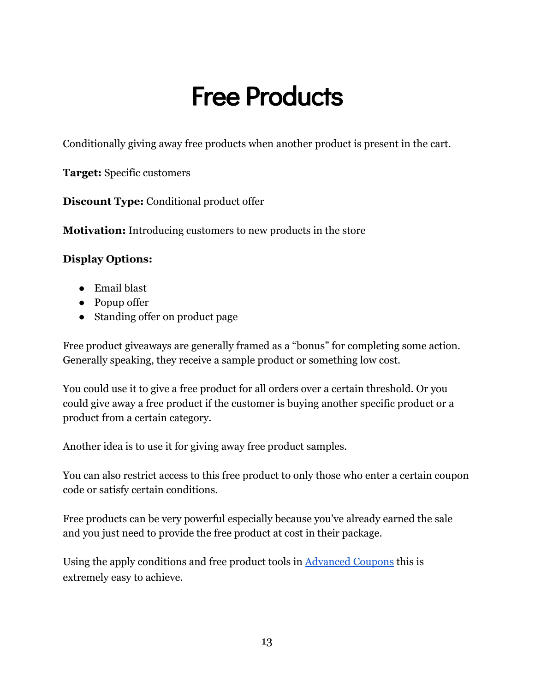### Free Products

<span id="page-13-0"></span>Conditionally giving away free products when another product is present in the cart.

**Target:** Specific customers

**Discount Type:** Conditional product offer

**Motivation:** Introducing customers to new products in the store

#### **Display Options:**

- Email blast
- Popup offer
- Standing offer on product page

Free product giveaways are generally framed as a "bonus" for completing some action. Generally speaking, they receive a sample product or something low cost.

You could use it to give a free product for all orders over a certain threshold. Or you could give away a free product if the customer is buying another specific product or a product from a certain category.

Another idea is to use it for giving away free product samples.

You can also restrict access to this free product to only those who enter a certain coupon code or satisfy certain conditions.

Free products can be very powerful especially because you've already earned the sale and you just need to provide the free product at cost in their package.

Using the apply conditions and free product tools in [Advanced Coupons](https://advancedcouponsplugin.com/?utm_source=AdvancedCoupons&utm_medium=PDF&utm_campaign=TopStoresFunnel&utm_content=TopStoresPDF) this is extremely easy to achieve.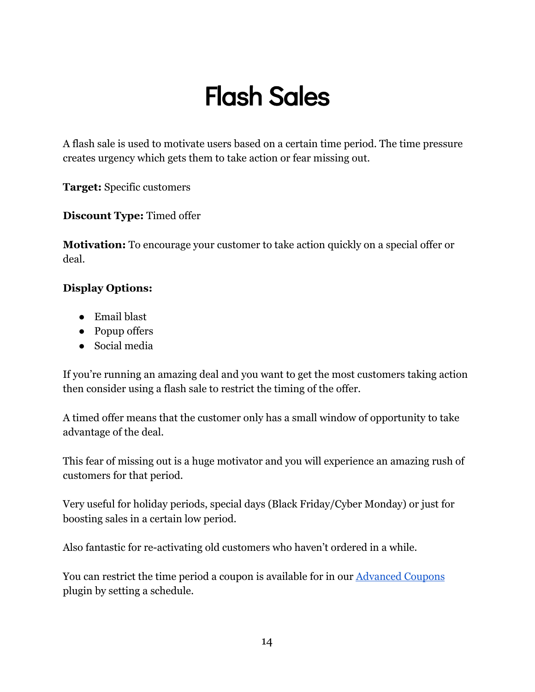### Flash Sales

<span id="page-14-0"></span>A flash sale is used to motivate users based on a certain time period. The time pressure creates urgency which gets them to take action or fear missing out.

**Target:** Specific customers

**Discount Type:** Timed offer

**Motivation:** To encourage your customer to take action quickly on a special offer or deal.

#### **Display Options:**

- Email blast
- Popup offers
- Social media

If you're running an amazing deal and you want to get the most customers taking action then consider using a flash sale to restrict the timing of the offer.

A timed offer means that the customer only has a small window of opportunity to take advantage of the deal.

This fear of missing out is a huge motivator and you will experience an amazing rush of customers for that period.

Very useful for holiday periods, special days (Black Friday/Cyber Monday) or just for boosting sales in a certain low period.

Also fantastic for re-activating old customers who haven't ordered in a while.

You can restrict the time period a coupon is available for in our **Advanced Coupons** plugin by setting a schedule.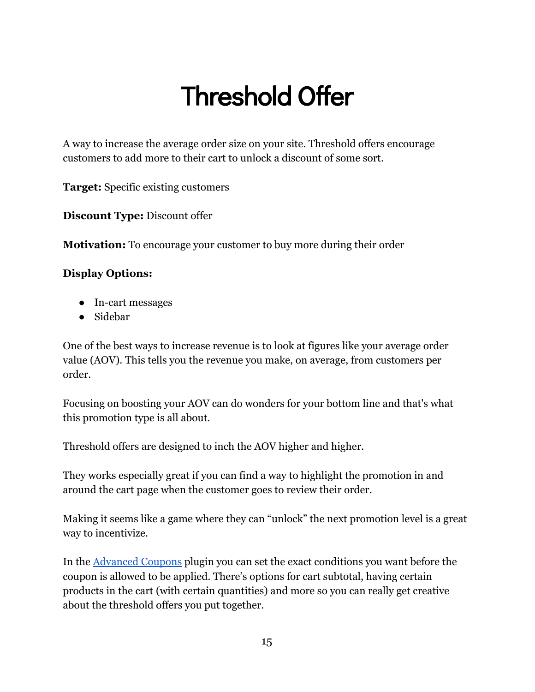### Threshold Offer

<span id="page-15-0"></span>A way to increase the average order size on your site. Threshold offers encourage customers to add more to their cart to unlock a discount of some sort.

**Target:** Specific existing customers

**Discount Type:** Discount offer

**Motivation:** To encourage your customer to buy more during their order

#### **Display Options:**

- In-cart messages
- Sidebar

One of the best ways to increase revenue is to look at figures like your average order value (AOV). This tells you the revenue you make, on average, from customers per order.

Focusing on boosting your AOV can do wonders for your bottom line and that's what this promotion type is all about.

Threshold offers are designed to inch the AOV higher and higher.

They works especially great if you can find a way to highlight the promotion in and around the cart page when the customer goes to review their order.

Making it seems like a game where they can "unlock" the next promotion level is a great way to incentivize.

In the [Advanced Coupons](https://advancedcouponsplugin.com/?utm_source=AdvancedCoupons&utm_medium=PDF&utm_campaign=TopStoresFunnel&utm_content=TopStoresPDF) plugin you can set the exact conditions you want before the coupon is allowed to be applied. There's options for cart subtotal, having certain products in the cart (with certain quantities) and more so you can really get creative about the threshold offers you put together.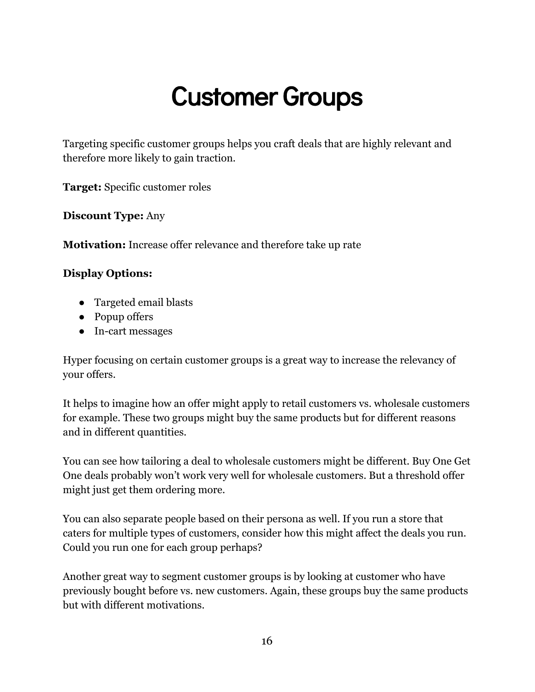### Customer Groups

<span id="page-16-0"></span>Targeting specific customer groups helps you craft deals that are highly relevant and therefore more likely to gain traction.

**Target:** Specific customer roles

**Discount Type:** Any

**Motivation:** Increase offer relevance and therefore take up rate

#### **Display Options:**

- Targeted email blasts
- Popup offers
- In-cart messages

Hyper focusing on certain customer groups is a great way to increase the relevancy of your offers.

It helps to imagine how an offer might apply to retail customers vs. wholesale customers for example. These two groups might buy the same products but for different reasons and in different quantities.

You can see how tailoring a deal to wholesale customers might be different. Buy One Get One deals probably won't work very well for wholesale customers. But a threshold offer might just get them ordering more.

You can also separate people based on their persona as well. If you run a store that caters for multiple types of customers, consider how this might affect the deals you run. Could you run one for each group perhaps?

Another great way to segment customer groups is by looking at customer who have previously bought before vs. new customers. Again, these groups buy the same products but with different motivations.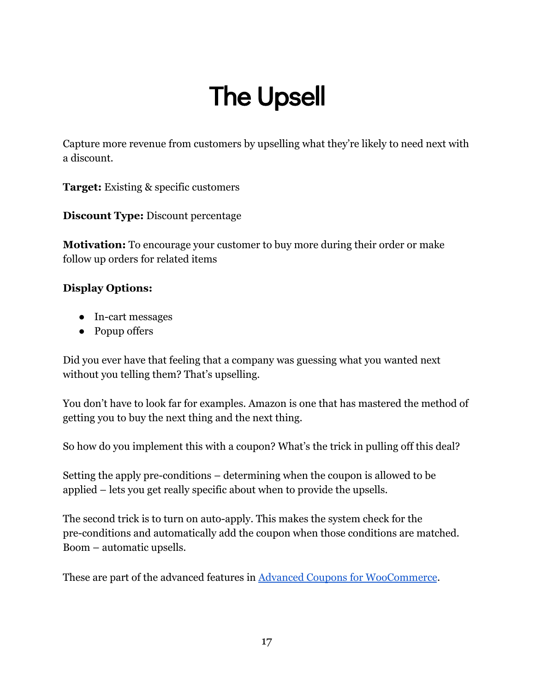## The Upsell

<span id="page-17-0"></span>Capture more revenue from customers by upselling what they're likely to need next with a discount.

**Target:** Existing & specific customers

**Discount Type:** Discount percentage

**Motivation:** To encourage your customer to buy more during their order or make follow up orders for related items

#### **Display Options:**

- In-cart messages
- Popup offers

Did you ever have that feeling that a company was guessing what you wanted next without you telling them? That's upselling.

You don't have to look far for examples. Amazon is one that has mastered the method of getting you to buy the next thing and the next thing.

So how do you implement this with a coupon? What's the trick in pulling off this deal?

Setting the apply pre-conditions – determining when the coupon is allowed to be applied – lets you get really specific about when to provide the upsells.

The second trick is to turn on auto-apply. This makes the system check for the pre-conditions and automatically add the coupon when those conditions are matched. Boom – automatic upsells.

These are part of the advanced features in [Advanced Coupons for WooCommerce](https://advancedcouponsplugin.com/?utm_source=AdvancedCoupons&utm_medium=PDF&utm_campaign=TopStoresFunnel&utm_content=TopStoresPDF).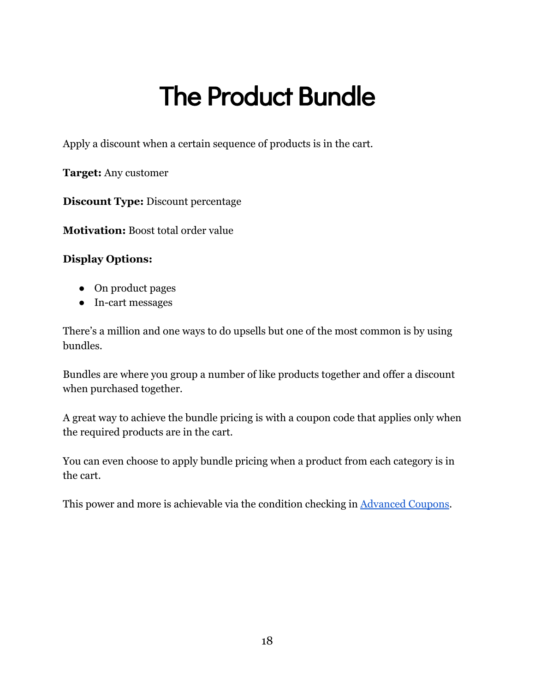### The Product Bundle

<span id="page-18-0"></span>Apply a discount when a certain sequence of products is in the cart.

**Target:** Any customer

**Discount Type:** Discount percentage

**Motivation:** Boost total order value

#### **Display Options:**

- On product pages
- In-cart messages

There's a million and one ways to do upsells but one of the most common is by using bundles.

Bundles are where you group a number of like products together and offer a discount when purchased together.

A great way to achieve the bundle pricing is with a coupon code that applies only when the required products are in the cart.

You can even choose to apply bundle pricing when a product from each category is in the cart.

This power and more is achievable via the condition checking in [Advanced Coupons](https://advancedcouponsplugin.com/?utm_source=AdvancedCoupons&utm_medium=PDF&utm_campaign=TopStoresFunnel&utm_content=TopStoresPDF).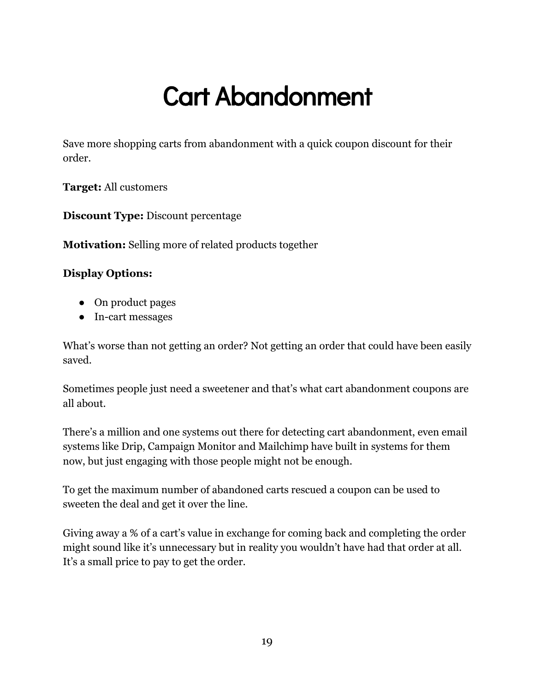### Cart Abandonment

<span id="page-19-0"></span>Save more shopping carts from abandonment with a quick coupon discount for their order.

**Target:** All customers

**Discount Type:** Discount percentage

**Motivation:** Selling more of related products together

#### **Display Options:**

- On product pages
- In-cart messages

What's worse than not getting an order? Not getting an order that could have been easily saved.

Sometimes people just need a sweetener and that's what cart abandonment coupons are all about.

There's a million and one systems out there for detecting cart abandonment, even email systems like Drip, Campaign Monitor and Mailchimp have built in systems for them now, but just engaging with those people might not be enough.

To get the maximum number of abandoned carts rescued a coupon can be used to sweeten the deal and get it over the line.

Giving away a % of a cart's value in exchange for coming back and completing the order might sound like it's unnecessary but in reality you wouldn't have had that order at all. It's a small price to pay to get the order.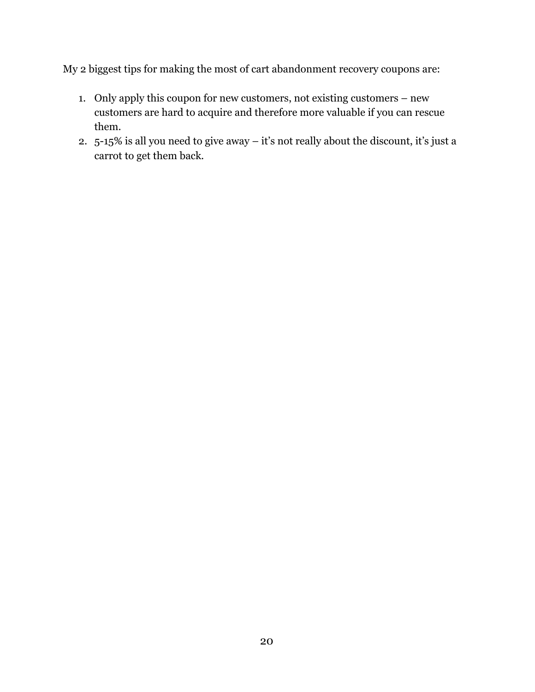My 2 biggest tips for making the most of cart abandonment recovery coupons are:

- 1. Only apply this coupon for new customers, not existing customers new customers are hard to acquire and therefore more valuable if you can rescue them.
- 2. 5-15% is all you need to give away it's not really about the discount, it's just a carrot to get them back.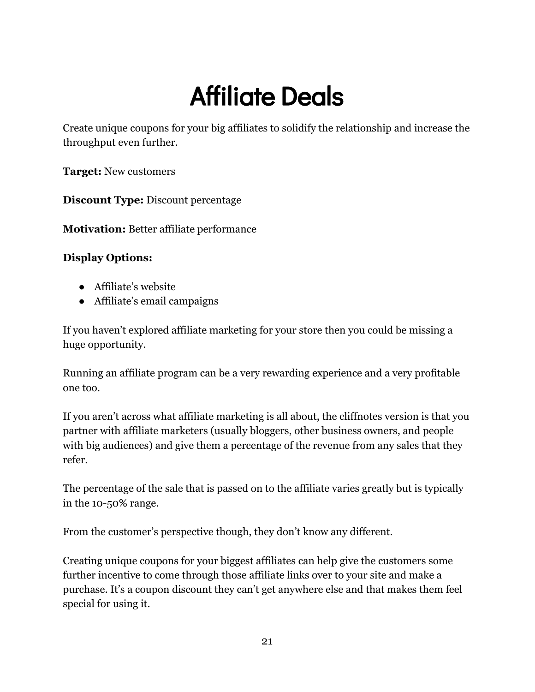## Affiliate Deals

<span id="page-21-0"></span>Create unique coupons for your big affiliates to solidify the relationship and increase the throughput even further.

**Target:** New customers

**Discount Type:** Discount percentage

**Motivation:** Better affiliate performance

#### **Display Options:**

- Affiliate's website
- Affiliate's email campaigns

If you haven't explored affiliate marketing for your store then you could be missing a huge opportunity.

Running an affiliate program can be a very rewarding experience and a very profitable one too.

If you aren't across what affiliate marketing is all about, the cliffnotes version is that you partner with affiliate marketers (usually bloggers, other business owners, and people with big audiences) and give them a percentage of the revenue from any sales that they refer.

The percentage of the sale that is passed on to the affiliate varies greatly but is typically in the 10-50% range.

From the customer's perspective though, they don't know any different.

Creating unique coupons for your biggest affiliates can help give the customers some further incentive to come through those affiliate links over to your site and make a purchase. It's a coupon discount they can't get anywhere else and that makes them feel special for using it.